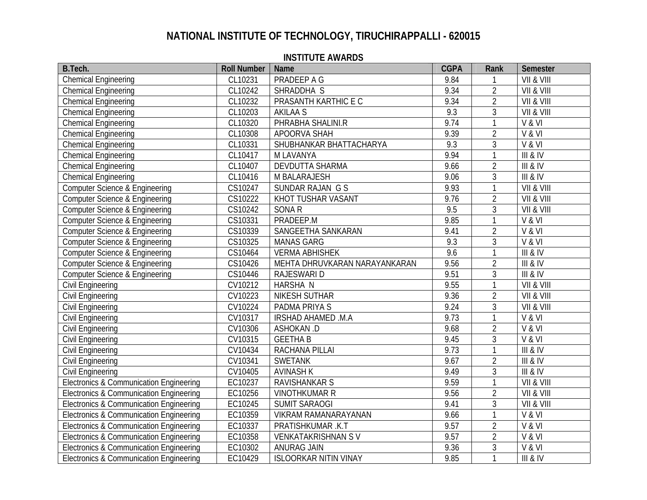| B.Tech.                                            | <b>Roll Number</b> | <b>Name</b>                   | <b>CGPA</b> | Rank           | Semester   |
|----------------------------------------------------|--------------------|-------------------------------|-------------|----------------|------------|
| <b>Chemical Engineering</b>                        | CL10231            | PRADEEP A G                   | 9.84        |                | VII & VIII |
| <b>Chemical Engineering</b>                        | CL10242            | SHRADDHA S                    | 9.34        | $\overline{2}$ | VII & VIII |
| <b>Chemical Engineering</b>                        | CL10232            | PRASANTH KARTHIC E C          | 9.34        | $\overline{2}$ | VII & VIII |
| <b>Chemical Engineering</b>                        | CL10203            | <b>AKILAA S</b>               | 9.3         | 3              | VII & VIII |
| <b>Chemical Engineering</b>                        | CL10320            | PHRABHA SHALINI.R             | 9.74        | $\mathbf{1}$   | V & VI     |
| <b>Chemical Engineering</b>                        | CL10308            | APOORVA SHAH                  | 9.39        | $\overline{2}$ | V & VI     |
| <b>Chemical Engineering</b>                        | CL10331            | SHUBHANKAR BHATTACHARYA       | 9.3         | 3              | V & VI     |
| Chemical Engineering                               | CL10417            | M LAVANYA                     | 9.94        |                | III & IV   |
| <b>Chemical Engineering</b>                        | CL10407            | DEVDUTTA SHARMA               | 9.66        | $\overline{2}$ | III & IV   |
| <b>Chemical Engineering</b>                        | CL10416            | M BALARAJESH                  | 9.06        | 3              | III & IV   |
| Computer Science & Engineering                     | CS10247            | SUNDAR RAJAN G S              | 9.93        | $\mathbf{1}$   | VII & VIII |
| <b>Computer Science &amp; Engineering</b>          | CS10222            | KHOT TUSHAR VASANT            | 9.76        | $\overline{2}$ | VII & VIII |
| <b>Computer Science &amp; Engineering</b>          | CS10242            | SONA R                        | 9.5         | $\mathfrak{Z}$ | VII & VIII |
| <b>Computer Science &amp; Engineering</b>          | CS10331            | PRADEEP.M                     | 9.85        | $\mathbf{1}$   | V & VI     |
| Computer Science & Engineering                     | CS10339            | SANGEETHA SANKARAN            | 9.41        | $\overline{2}$ | V & VI     |
| Computer Science & Engineering                     | CS10325            | <b>MANAS GARG</b>             | 9.3         | $\mathfrak{Z}$ | V & VI     |
| Computer Science & Engineering                     | CS10464            | <b>VERMA ABHISHEK</b>         | 9.6         | $\mathbf{1}$   | III & IV   |
| <b>Computer Science &amp; Engineering</b>          | CS10426            | MEHTA DHRUVKARAN NARAYANKARAN | 9.56        | $\overline{2}$ | III & IV   |
| <b>Computer Science &amp; Engineering</b>          | CS10446            | <b>RAJESWARI D</b>            | 9.51        | 3              | III & IV   |
| Civil Engineering                                  | CV10212            | <b>HARSHA N</b>               | 9.55        | $\mathbf{1}$   | VII & VIII |
| Civil Engineering                                  | CV10223            | <b>NIKESH SUTHAR</b>          | 9.36        | $\overline{2}$ | VII & VIII |
| Civil Engineering                                  | CV10224            | PADMA PRIYA S                 | 9.24        | 3              | VII & VIII |
| Civil Engineering                                  | CV10317            | IRSHAD AHAMED .M.A            | 9.73        | $\mathbf{1}$   | V & VI     |
| Civil Engineering                                  | CV10306            | ASHOKAN .D                    | 9.68        | $\overline{2}$ | V & VI     |
| Civil Engineering                                  | CV10315            | <b>GEETHAB</b>                | 9.45        | $\mathfrak{Z}$ | V & VI     |
| Civil Engineering                                  | CV10434            | RACHANA PILLAI                | 9.73        | $\mathbf{1}$   | III & IV   |
| Civil Engineering                                  | CV10341            | <b>SWETANK</b>                | 9.67        | $\overline{2}$ | III & IV   |
| Civil Engineering                                  | CV10405            | <b>AVINASH K</b>              | 9.49        | 3              | III & IV   |
| Electronics & Communication Engineering            | EC10237            | RAVISHANKAR S                 | 9.59        | $\mathbf{1}$   | VII & VIII |
| Electronics & Communication Engineering            | EC10256            | <b>VINOTHKUMAR R</b>          | 9.56        | $\overline{2}$ | VII & VIII |
| Electronics & Communication Engineering            | EC10245            | <b>SUMIT SARAOGI</b>          | 9.41        | 3              | VII & VIII |
| <b>Electronics &amp; Communication Engineering</b> | EC10359            | VIKRAM RAMANARAYANAN          | 9.66        | $\mathbf{1}$   | V & VI     |
| <b>Electronics &amp; Communication Engineering</b> | EC10337            | PRATISHKUMAR .K.T             | 9.57        | $\overline{2}$ | V & VI     |
| <b>Electronics &amp; Communication Engineering</b> | EC10358            | <b>VENKATAKRISHNAN SV</b>     | 9.57        | $\overline{2}$ | V & VI     |
| Electronics & Communication Engineering            | EC10302            | ANURAG JAIN                   | 9.36        | 3              | V & VI     |
| Electronics & Communication Engineering            | EC10429            | <b>ISLOORKAR NITIN VINAY</b>  | 9.85        | $\mathbf{1}$   | III & IV   |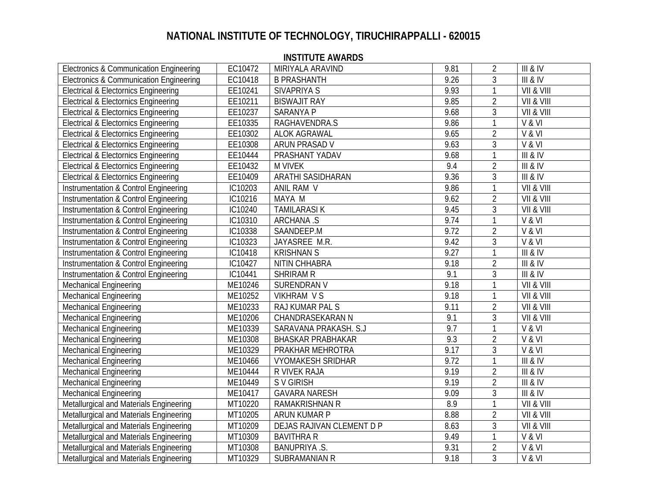| Electronics & Communication Engineering         | EC10472 | MIRIYALA ARAVIND          | 9.81 | $\overline{2}$ | <b>III &amp; IV</b> |
|-------------------------------------------------|---------|---------------------------|------|----------------|---------------------|
| Electronics & Communication Engineering         | EC10418 | <b>B PRASHANTH</b>        | 9.26 | 3              | <b>III &amp; IV</b> |
| <b>Electrical &amp; Electornics Engineering</b> | EE10241 | SIVAPRIYA S               | 9.93 | $\mathbf{1}$   | VII & VIII          |
| <b>Electrical &amp; Electornics Engineering</b> | EE10211 | <b>BISWAJIT RAY</b>       | 9.85 | $\overline{2}$ | VII & VIII          |
| <b>Electrical &amp; Electornics Engineering</b> | EE10237 | SARANYA P                 | 9.68 | 3              | VII & VIII          |
| <b>Electrical &amp; Electornics Engineering</b> | EE10335 | RAGHAVENDRA.S             | 9.86 | 1              | V & VI              |
| <b>Electrical &amp; Electornics Engineering</b> | EE10302 | <b>ALOK AGRAWAL</b>       | 9.65 | $\overline{2}$ | V & VI              |
| <b>Electrical &amp; Electornics Engineering</b> | EE10308 | ARUN PRASAD V             | 9.63 | 3              | V & VI              |
| <b>Electrical &amp; Electornics Engineering</b> | EE10444 | PRASHANT YADAV            | 9.68 | 1              | III & IV            |
| <b>Electrical &amp; Electornics Engineering</b> | EE10432 | <b>M VIVEK</b>            | 9.4  | $\overline{2}$ | III & IV            |
| <b>Electrical &amp; Electornics Engineering</b> | EE10409 | ARATHI SASIDHARAN         | 9.36 | 3              | III & IV            |
| Instrumentation & Control Engineering           | IC10203 | ANIL RAM V                | 9.86 |                | VII & VIII          |
| Instrumentation & Control Engineering           | IC10216 | MAYA M                    | 9.62 | 2              | VII & VIII          |
| Instrumentation & Control Engineering           | IC10240 | <b>TAMILARASIK</b>        | 9.45 | 3              | VII & VIII          |
| Instrumentation & Control Engineering           | IC10310 | <b>ARCHANA .S</b>         | 9.74 |                | V & VI              |
| Instrumentation & Control Engineering           | IC10338 | SAANDEEP.M                | 9.72 | $\overline{2}$ | V & VI              |
| Instrumentation & Control Engineering           | IC10323 | JAYASREE M.R.             | 9.42 | 3              | V & VI              |
| Instrumentation & Control Engineering           | IC10418 | <b>KRISHNAN S</b>         | 9.27 |                | III & IV            |
| Instrumentation & Control Engineering           | IC10427 | NITIN CHHABRA             | 9.18 | $\overline{2}$ | III & IV            |
| Instrumentation & Control Engineering           | IC10441 | SHRIRAM R                 | 9.1  | 3              | III & IV            |
| <b>Mechanical Engineering</b>                   | ME10246 | SURENDRAN V               | 9.18 |                | VII & VIII          |
| <b>Mechanical Engineering</b>                   | ME10252 | <b>VIKHRAM VS</b>         | 9.18 | 1              | VII & VIII          |
| <b>Mechanical Engineering</b>                   | ME10233 | RAJ KUMAR PAL S           | 9.11 | $\overline{2}$ | VII & VIII          |
| <b>Mechanical Engineering</b>                   | ME10206 | CHANDRASEKARAN N          | 9.1  | 3              | VII & VIII          |
| <b>Mechanical Engineering</b>                   | ME10339 | SARAVANA PRAKASH. S.J     | 9.7  |                | V & VI              |
| <b>Mechanical Engineering</b>                   | ME10308 | <b>BHASKAR PRABHAKAR</b>  | 9.3  | $\overline{2}$ | V & VI              |
| <b>Mechanical Engineering</b>                   | ME10329 | PRAKHAR MEHROTRA          | 9.17 | 3              | V & VI              |
| <b>Mechanical Engineering</b>                   | ME10466 | <b>VYOMAKESH SRIDHAR</b>  | 9.72 |                | <b>III &amp; IV</b> |
| Mechanical Engineering                          | ME10444 | R VIVEK RAJA              | 9.19 | $\overline{2}$ | <b>III &amp; IV</b> |
| <b>Mechanical Engineering</b>                   | ME10449 | S V GIRISH                | 9.19 | $\overline{2}$ | III & IV            |
| <b>Mechanical Engineering</b>                   | ME10417 | <b>GAVARA NARESH</b>      | 9.09 | 3              | III & IV            |
| Metallurgical and Materials Engineering         | MT10220 | <b>RAMAKRISHNAN R</b>     | 8.9  | $\mathbf{1}$   | VII & VIII          |
| Metallurgical and Materials Engineering         | MT10205 | ARUN KUMAR P              | 8.88 | $\overline{2}$ | VII & VIII          |
| Metallurgical and Materials Engineering         | MT10209 | DEJAS RAJIVAN CLEMENT D P | 8.63 | $\overline{3}$ | VII & VIII          |
| Metallurgical and Materials Engineering         | MT10309 | <b>BAVITHRA R</b>         | 9.49 |                | V & VI              |
| Metallurgical and Materials Engineering         | MT10308 | BANUPRIYA .S.             | 9.31 | $\overline{2}$ | V & VI              |
| Metallurgical and Materials Engineering         | MT10329 | SUBRAMANIAN R             | 9.18 | $\overline{3}$ | V & VI              |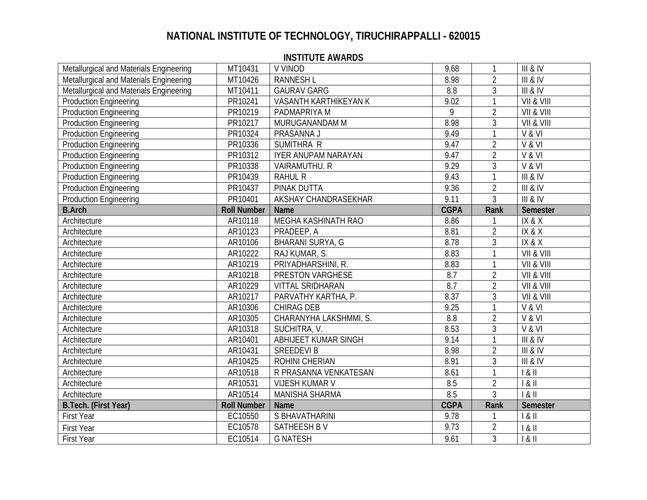| Metallurgical and Materials Engineering | MT10431            | V VINOD                    | 9.68             | 1              | <b>III &amp; IV</b> |
|-----------------------------------------|--------------------|----------------------------|------------------|----------------|---------------------|
| Metallurgical and Materials Engineering | MT10426            | <b>RANNESH L</b>           | 8.98             | $\overline{2}$ | III & IV            |
| Metallurgical and Materials Engineering | MT10411            | <b>GAURAV GARG</b>         | 8.8              | 3              | III & IV            |
| <b>Production Engineering</b>           | PR10241            | VASANTH KARTHIKEYAN K      | 9.02             | $\mathbf{1}$   | VII & VIII          |
| <b>Production Engineering</b>           | PR10219            | PADMAPRIYA M               | 9                | $\overline{2}$ | VII & VIII          |
| <b>Production Engineering</b>           | PR10217            | MURUGANANDAM M             | 8.98             | $\mathfrak{Z}$ | VII & VIII          |
| <b>Production Engineering</b>           | PR10324            | PRASANNA J                 | 9.49             | $\mathbf{1}$   | V & VI              |
| <b>Production Engineering</b>           | PR10336            | SUMITHRA R                 | 9.47             | $\overline{2}$ | V & VI              |
| <b>Production Engineering</b>           | PR10312            | <b>IYER ANUPAM NARAYAN</b> | 9.47             | $\overline{2}$ | V & VI              |
| <b>Production Engineering</b>           | PR10338            | VAIRAMUTHU. R              | 9.29             | $\mathfrak{Z}$ | V & VI              |
| <b>Production Engineering</b>           | PR10439            | <b>RAHUL R</b>             | 9.43             | $\mathbf{1}$   | <b>III &amp; IV</b> |
| <b>Production Engineering</b>           | PR10437            | PINAK DUTTA                | 9.36             | $\overline{2}$ | <b>III &amp; IV</b> |
| <b>Production Engineering</b>           | PR10401            | AKSHAY CHANDRASEKHAR       | 9.11             | $\overline{3}$ | III & IV            |
| <b>B.Arch</b>                           | <b>Roll Number</b> | Name                       | <b>CGPA</b>      | Rank           | Semester            |
| Architecture                            | AR10118            | MEGHA KASHINATH RAO        | 8.86             |                | IX & X              |
| Architecture                            | AR10123            | PRADEEP, A                 | 8.81             | $\overline{2}$ | IX & X              |
| Architecture                            | AR10106            | BHARANI SURYA, G           | 8.78             | $\mathfrak{Z}$ | IX & X              |
| Architecture                            | AR10222            | RAJ KUMAR, S.              | 8.83             | $\mathbf{1}$   | VII & VIII          |
| Architecture                            | AR10219            | PRIYADHARSHINI, R.         | 8.83             | 1              | VII & VIII          |
| Architecture                            | AR10218            | PRESTON VARGHESE           | 8.7              | $\overline{2}$ | VII & VIII          |
| Architecture                            | AR10229            | <b>VITTAL SRIDHARAN</b>    | $\overline{8.7}$ | $\overline{2}$ | VII & VIII          |
| Architecture                            | AR10217            | PARVATHY KARTHA, P.        | 8.37             | 3              | VII & VIII          |
| Architecture                            | AR10306            | CHIRAG DEB                 | 9.25             |                | V & VI              |
| Architecture                            | AR10305            | CHARANYHA LAKSHMMI, S.     | 8.8              | $\overline{2}$ | V & VI              |
| Architecture                            | AR10318            | SUCHITRA, V.               | 8.53             | $\mathfrak{Z}$ | V & VI              |
| Architecture                            | AR10401            | ABHIJEET KUMAR SINGH       | 9.14             | 1              | <b>III &amp; IV</b> |
| Architecture                            | AR10431            | <b>SREEDEVIB</b>           | 8.98             | $\overline{2}$ | <b>III &amp; IV</b> |
| Architecture                            | AR10425            | ROHINI CHERIAN             | 8.91             | 3              | <b>III &amp; IV</b> |
| Architecture                            | AR10518            | R PRASANNA VENKATESAN      | 8.61             | $\mathbf{1}$   | 181                 |
| Architecture                            | AR10531            | <b>VIJESH KUMAR V</b>      | 8.5              | $\overline{2}$ | 1 & 11              |
| Architecture                            | AR10514            | MANISHA SHARMA             | 8.5              | $\mathfrak{Z}$ | 181                 |
| B.Tech. (First Year)                    | <b>Roll Number</b> | <b>Name</b>                | <b>CGPA</b>      | Rank           | Semester            |
| <b>First Year</b>                       | EC10550            | S BHAVATHARINI             | 9.78             |                | 1 & II              |
| <b>First Year</b>                       | EC10578            | SATHEESH BV                | 9.73             | $\overline{2}$ | $8$ II              |
| <b>First Year</b>                       | EC10514            | <b>G NATESH</b>            | 9.61             | $\overline{3}$ | 181                 |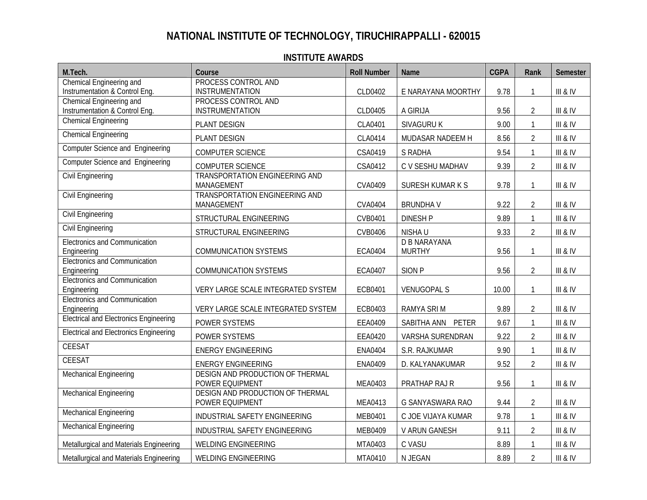| M.Tech.                                                    | Course                                        | <b>Roll Number</b> | Name                | <b>CGPA</b> | Rank           | Semester     |
|------------------------------------------------------------|-----------------------------------------------|--------------------|---------------------|-------------|----------------|--------------|
| Chemical Engineering and                                   | PROCESS CONTROL AND                           |                    |                     |             |                |              |
| Instrumentation & Control Eng.                             | <b>INSTRUMENTATION</b>                        | CLD0402            | E NARAYANA MOORTHY  | 9.78        | 1              | III & IV     |
| Chemical Engineering and<br>Instrumentation & Control Eng. | PROCESS CONTROL AND<br><b>INSTRUMENTATION</b> | CLD0405            | A GIRIJA            | 9.56        | $\overline{2}$ | III & IV     |
| <b>Chemical Engineering</b>                                |                                               |                    |                     |             |                |              |
|                                                            | PLANT DESIGN                                  | CLA0401            | SIVAGURU K          | 9.00        | 1              | III & IV     |
| <b>Chemical Engineering</b>                                | PLANT DESIGN                                  | CLA0414            | MUDASAR NADEEM H    | 8.56        | $\overline{2}$ | III & IV     |
| <b>Computer Science and Engineering</b>                    | <b>COMPUTER SCIENCE</b>                       | CSA0419            | S RADHA             | 9.54        | $\mathbf{1}$   | III & IV     |
| <b>Computer Science and Engineering</b>                    | COMPUTER SCIENCE                              | CSA0412            | C V SESHU MADHAV    | 9.39        | $\overline{2}$ | III & IV     |
| <b>Civil Engineering</b>                                   | TRANSPORTATION ENGINEERING AND                |                    |                     |             |                |              |
|                                                            | MANAGEMENT                                    | <b>CVA0409</b>     | SURESH KUMAR K S    | 9.78        |                | III & IV     |
| <b>Civil Engineering</b>                                   | TRANSPORTATION ENGINEERING AND<br>MANAGEMENT  | <b>CVA0404</b>     | <b>BRUNDHAV</b>     | 9.22        | $\overline{2}$ | III & IV     |
| Civil Engineering                                          | STRUCTURAL ENGINEERING                        | CVB0401            | <b>DINESH P</b>     | 9.89        | 1              | III & IV     |
| <b>Civil Engineering</b>                                   | STRUCTURAL ENGINEERING                        | CVB0406            | NISHA U             | 9.33        | $\overline{2}$ | $III$ & $IV$ |
| <b>Electronics and Communication</b>                       |                                               |                    | <b>D B NARAYANA</b> |             |                |              |
| Engineering                                                | <b>COMMUNICATION SYSTEMS</b>                  | <b>ECA0404</b>     | <b>MURTHY</b>       | 9.56        | $\mathbf{1}$   | III & IV     |
| Electronics and Communication                              |                                               |                    |                     |             |                |              |
| Engineering<br><b>Electronics and Communication</b>        | <b>COMMUNICATION SYSTEMS</b>                  | <b>ECA0407</b>     | SION <sub>P</sub>   | 9.56        | $\overline{2}$ | III & IV     |
| Engineering                                                | VERY LARGE SCALE INTEGRATED SYSTEM            | ECB0401            | <b>VENUGOPAL S</b>  | 10.00       |                | III & IV     |
| <b>Electronics and Communication</b>                       |                                               |                    |                     |             |                |              |
| Engineering                                                | VERY LARGE SCALE INTEGRATED SYSTEM            | ECB0403            | RAMYA SRI M         | 9.89        | $\overline{2}$ | III & IV     |
| <b>Electrical and Electronics Engineering</b>              | POWER SYSTEMS                                 | EEA0409            | SABITHA ANN PETER   | 9.67        | 1              | III & IV     |
| <b>Electrical and Electronics Engineering</b>              | POWER SYSTEMS                                 | EEA0420            | VARSHA SURENDRAN    | 9.22        | $\overline{2}$ | III & IV     |
| CEESAT                                                     | <b>ENERGY ENGINEERING</b>                     | <b>ENA0404</b>     | S.R. RAJKUMAR       | 9.90        | $\mathbf{1}$   | III & IV     |
| <b>CEESAT</b>                                              | <b>ENERGY ENGINEERING</b>                     | <b>ENA0409</b>     | D. KALYANAKUMAR     | 9.52        | $\overline{2}$ | III & IV     |
| <b>Mechanical Engineering</b>                              | DESIGN AND PRODUCTION OF THERMAL              |                    |                     |             |                |              |
|                                                            | POWER EQUIPMENT                               | MEA0403            | PRATHAP RAJ R       | 9.56        |                | III & IV     |
| Mechanical Engineering                                     | DESIGN AND PRODUCTION OF THERMAL              |                    |                     |             |                |              |
|                                                            | POWER EQUIPMENT                               | <b>MEA0413</b>     | G SANYASWARA RAO    | 9.44        | $\overline{2}$ | III & IV     |
| <b>Mechanical Engineering</b>                              | INDUSTRIAL SAFETY ENGINEERING                 | MEB0401            | C JOE VIJAYA KUMAR  | 9.78        | $\mathbf{1}$   | III & IV     |
| <b>Mechanical Engineering</b>                              | INDUSTRIAL SAFETY ENGINEERING                 | MEB0409            | V ARUN GANESH       | 9.11        | $\overline{2}$ | III & IV     |
| Metallurgical and Materials Engineering                    | <b>WELDING ENGINEERING</b>                    | MTA0403            | C VASU              | 8.89        | $\mathbf{1}$   | III & IV     |
| Metallurgical and Materials Engineering                    | <b>WELDING ENGINEERING</b>                    | MTA0410            | N JEGAN             | 8.89        | $\overline{2}$ | III & IV     |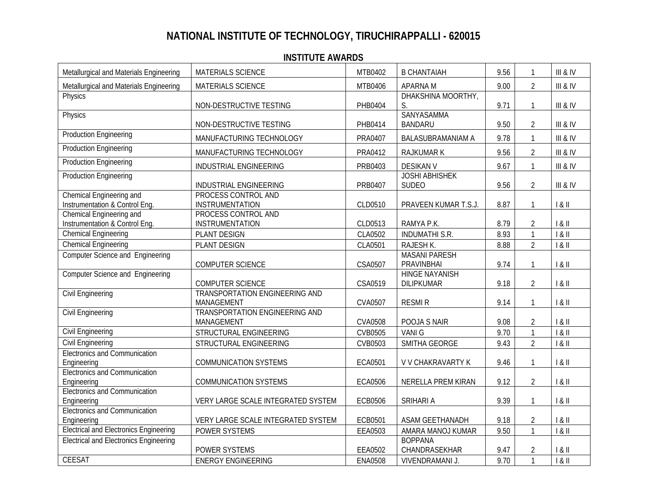| Metallurgical and Materials Engineering                    | <b>MATERIALS SCIENCE</b>                            | MTB0402        | <b>B CHANTAIAH</b>                         | 9.56 | $\mathbf{1}$   | III & IV |
|------------------------------------------------------------|-----------------------------------------------------|----------------|--------------------------------------------|------|----------------|----------|
| Metallurgical and Materials Engineering                    | <b>MATERIALS SCIENCE</b>                            | MTB0406        | <b>APARNAM</b>                             | 9.00 | $\overline{2}$ | III & IV |
| Physics                                                    | NON-DESTRUCTIVE TESTING                             | PHB0404        | DHAKSHINA MOORTHY,<br>S.                   | 9.71 | $\overline{1}$ | III & IV |
| Physics                                                    | NON-DESTRUCTIVE TESTING                             | PHB0414        | <b>SANYASAMMA</b><br><b>BANDARU</b>        | 9.50 | $\overline{2}$ | III & IV |
| <b>Production Engineering</b>                              | MANUFACTURING TECHNOLOGY                            | PRA0407        | <b>BALASUBRAMANIAM A</b>                   | 9.78 | $\mathbf{1}$   | III & IV |
| <b>Production Engineering</b>                              | MANUFACTURING TECHNOLOGY                            | PRA0412        | <b>RAJKUMAR K</b>                          | 9.56 | $\overline{2}$ | III & IV |
| <b>Production Engineering</b>                              | INDUSTRIAL ENGINEERING                              | PRB0403        | <b>DESIKAN V</b>                           | 9.67 | $\mathbf{1}$   | III & IV |
| <b>Production Engineering</b>                              | INDUSTRIAL ENGINEERING                              | PRB0407        | <b>JOSHI ABHISHEK</b><br><b>SUDEO</b>      | 9.56 | $\overline{2}$ | III & IV |
| Chemical Engineering and<br>Instrumentation & Control Eng. | PROCESS CONTROL AND<br>INSTRUMENTATION              | CLD0510        | PRAVEEN KUMAR T.S.J.                       | 8.87 | $\mathbf{1}$   | 1 & 11   |
| Chemical Engineering and<br>Instrumentation & Control Eng. | PROCESS CONTROL AND<br>INSTRUMENTATION              | CLD0513        | RAMYA P.K.                                 | 8.79 | $\overline{2}$ | 181      |
| <b>Chemical Engineering</b>                                | PLANT DESIGN                                        | CLA0502        | <b>INDUMATHI S.R.</b>                      | 8.93 | $\mathbf{1}$   | 1 & 11   |
| <b>Chemical Engineering</b>                                | PLANT DESIGN                                        | CLA0501        | RAJESH K.                                  | 8.88 | $\overline{2}$ | 1 & 11   |
| <b>Computer Science and Engineering</b>                    | COMPUTER SCIENCE                                    | CSA0507        | <b>MASANI PARESH</b><br>PRAVINBHAI         | 9.74 | $\mathbf{1}$   | 1 & 11   |
| <b>Computer Science and Engineering</b>                    | <b>COMPUTER SCIENCE</b>                             | CSA0519        | <b>HINGE NAYANISH</b><br><b>DILIPKUMAR</b> | 9.18 | $\overline{2}$ | 1 & 11   |
| <b>Civil Engineering</b>                                   | <b>TRANSPORTATION ENGINEERING AND</b><br>MANAGEMENT | CVA0507        | <b>RESMIR</b>                              | 9.14 | $\mathbf{1}$   | 1 & 11   |
| <b>Civil Engineering</b>                                   | TRANSPORTATION ENGINEERING AND<br>MANAGEMENT        | <b>CVA0508</b> | POOJA S NAIR                               | 9.08 | $\overline{2}$ | 1 & 11   |
| <b>Civil Engineering</b>                                   | STRUCTURAL ENGINEERING                              | <b>CVB0505</b> | <b>VANIG</b>                               | 9.70 | $\mathbf{1}$   | 1 & 11   |
| Civil Engineering                                          | STRUCTURAL ENGINEERING                              | CVB0503        | SMITHA GEORGE                              | 9.43 | $\overline{2}$ | 1 & 11   |
| <b>Electronics and Communication</b><br>Engineering        | <b>COMMUNICATION SYSTEMS</b>                        | ECA0501        | V V CHAKRAVARTY K                          | 9.46 | $\mathbf{1}$   | 1 & 11   |
| <b>Electronics and Communication</b><br>Engineering        | <b>COMMUNICATION SYSTEMS</b>                        | <b>ECA0506</b> | NERELLA PREM KIRAN                         | 9.12 | $\overline{2}$ | 1 & 11   |
| Electronics and Communication<br>Engineering               | VERY LARGE SCALE INTEGRATED SYSTEM                  | <b>ECB0506</b> | <b>SRIHARI A</b>                           | 9.39 | $\mathbf{1}$   | 181      |
| <b>Electronics and Communication</b><br>Engineering        | VERY LARGE SCALE INTEGRATED SYSTEM                  | ECB0501        | ASAM GEETHANADH                            | 9.18 | $\overline{2}$ | 1 & 11   |
| <b>Electrical and Electronics Engineering</b>              | POWER SYSTEMS                                       | EEA0503        | AMARA MANOJ KUMAR                          | 9.50 | $\mathbf{1}$   | 1 & 11   |
| <b>Electrical and Electronics Engineering</b>              | POWER SYSTEMS                                       | EEA0502        | <b>BOPPANA</b><br>CHANDRASEKHAR            | 9.47 | $\overline{2}$ | 1 & 11   |
| <b>CEESAT</b>                                              | <b>ENERGY ENGINEERING</b>                           | <b>ENA0508</b> | VIVENDRAMANI J.                            | 9.70 | $\overline{1}$ | 1 & 11   |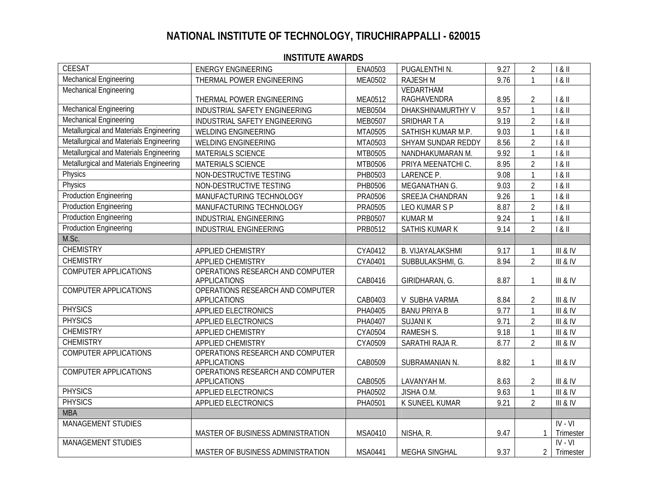| <b>CEESAT</b>                           | <b>ENERGY ENGINEERING</b>                               | <b>ENA0503</b> | PUGALENTHIN.            | 9.27 | $\overline{2}$ | 1 & 11    |
|-----------------------------------------|---------------------------------------------------------|----------------|-------------------------|------|----------------|-----------|
| Mechanical Engineering                  | THERMAL POWER ENGINEERING                               | <b>MEA0502</b> | <b>RAJESHM</b>          | 9.76 |                | 1 & 11    |
| Mechanical Engineering                  |                                                         |                | VEDARTHAM               |      |                |           |
|                                         | THERMAL POWER ENGINEERING                               | MEA0512        | RAGHAVENDRA             | 8.95 | $\overline{2}$ | 1 & 11    |
| Mechanical Engineering                  | INDUSTRIAL SAFETY ENGINEERING                           | <b>MEB0504</b> | DHAKSHINAMURTHY V       | 9.57 | $\mathbf{1}$   | 1 & 11    |
| <b>Mechanical Engineering</b>           | INDUSTRIAL SAFETY ENGINEERING                           | <b>MEB0507</b> | SRIDHAR T A             | 9.19 | $\overline{2}$ | 1 & 11    |
| Metallurgical and Materials Engineering | WELDING ENGINEERING                                     | MTA0505        | SATHISH KUMAR M.P.      | 9.03 | $\overline{1}$ | 1 & 11    |
| Metallurgical and Materials Engineering | WELDING ENGINEERING                                     | MTA0503        | SHYAM SUNDAR REDDY      | 8.56 | $\overline{2}$ | 1 & 11    |
| Metallurgical and Materials Engineering | MATERIALS SCIENCE                                       | MTB0505        | NANDHAKUMARAN M.        | 9.92 | $\mathbf{1}$   | 1 & 11    |
| Metallurgical and Materials Engineering | MATERIALS SCIENCE                                       | MTB0506        | PRIYA MEENATCHI C.      | 8.95 | $\overline{2}$ | 1 & 11    |
| Physics                                 | NON-DESTRUCTIVE TESTING                                 | PHB0503        | LARENCE P.              | 9.08 | $\mathbf{1}$   | 1 & 11    |
| Physics                                 | NON-DESTRUCTIVE TESTING                                 | PHB0506        | MEGANATHAN G.           | 9.03 | $\overline{2}$ | 1 & 11    |
| <b>Production Engineering</b>           | MANUFACTURING TECHNOLOGY                                | <b>PRA0506</b> | SREEJA CHANDRAN         | 9.26 | $\mathbf{1}$   | 1 & 11    |
| <b>Production Engineering</b>           | MANUFACTURING TECHNOLOGY                                | <b>PRA0505</b> | LEO KUMAR S P           | 8.87 | $\overline{2}$ | 1 & 11    |
| <b>Production Engineering</b>           | INDUSTRIAL ENGINEERING                                  | PRB0507        | <b>KUMAR M</b>          | 9.24 | $\mathbf{1}$   | 1 & 11    |
| <b>Production Engineering</b>           | INDUSTRIAL ENGINEERING                                  | PRB0512        | <b>SATHIS KUMAR K</b>   | 9.14 | $\overline{2}$ | 1 & 11    |
| M.Sc.                                   |                                                         |                |                         |      |                |           |
| <b>CHEMISTRY</b>                        | APPLIED CHEMISTRY                                       | CYA0412        | <b>B. VIJAYALAKSHMI</b> | 9.17 | $\mathbf{1}$   | III & IV  |
| <b>CHEMISTRY</b>                        | APPLIED CHEMISTRY                                       | CYA0401        | SUBBULAKSHMI, G.        | 8.94 | $\overline{2}$ | III & IV  |
| <b>COMPUTER APPLICATIONS</b>            | OPERATIONS RESEARCH AND COMPUTER                        |                |                         |      |                |           |
|                                         | <b>APPLICATIONS</b>                                     | CAB0416        | GIRIDHARAN, G.          | 8.87 | 1              | III & IV  |
| <b>COMPUTER APPLICATIONS</b>            | OPERATIONS RESEARCH AND COMPUTER                        |                |                         |      |                |           |
|                                         | <b>APPLICATIONS</b>                                     | CAB0403        | V SUBHA VARMA           | 8.84 | $\overline{2}$ | III & IV  |
| <b>PHYSICS</b>                          | APPLIED ELECTRONICS                                     | PHA0405        | <b>BANU PRIYA B</b>     | 9.77 | $\overline{1}$ | III & IV  |
| <b>PHYSICS</b>                          | <b>APPLIED ELECTRONICS</b>                              | PHA0407        | <b>SUJANIK</b>          | 9.71 | $\overline{2}$ | III & IV  |
| <b>CHEMISTRY</b>                        | APPLIED CHEMISTRY                                       | CYA0504        | <b>RAMESH S.</b>        | 9.18 | $\mathbf{1}$   | III & IV  |
| <b>CHEMISTRY</b>                        | APPLIED CHEMISTRY                                       | CYA0509        | SARATHI RAJA R.         | 8.77 | $\overline{2}$ | III & IV  |
| <b>COMPUTER APPLICATIONS</b>            | OPERATIONS RESEARCH AND COMPUTER                        |                |                         |      |                |           |
| <b>COMPUTER APPLICATIONS</b>            | <b>APPLICATIONS</b><br>OPERATIONS RESEARCH AND COMPUTER | CAB0509        | SUBRAMANIAN N.          | 8.82 | $\mathbf{1}$   | III & IV  |
|                                         | <b>APPLICATIONS</b>                                     | CAB0505        | LAVANYAH M.             | 8.63 | $\overline{2}$ | III & IV  |
| <b>PHYSICS</b>                          | APPLIED ELECTRONICS                                     | PHA0502        | JISHA O.M.              | 9.63 | $\mathbf{1}$   | III & IV  |
| <b>PHYSICS</b>                          | APPLIED ELECTRONICS                                     | PHA0501        | K SUNEEL KUMAR          | 9.21 | $\overline{2}$ | III & IV  |
| <b>MBA</b>                              |                                                         |                |                         |      |                |           |
| <b>MANAGEMENT STUDIES</b>               |                                                         |                |                         |      |                | $IV - VI$ |
|                                         | MASTER OF BUSINESS ADMINISTRATION                       | MSA0410        | NISHA, R.               | 9.47 | $\mathbf{1}$   | Trimester |
| <b>MANAGEMENT STUDIES</b>               |                                                         |                |                         |      |                | $IV - VI$ |
|                                         | MASTER OF BUSINESS ADMINISTRATION                       | <b>MSA0441</b> | <b>MEGHA SINGHAL</b>    | 9.37 | $\overline{2}$ | Trimester |